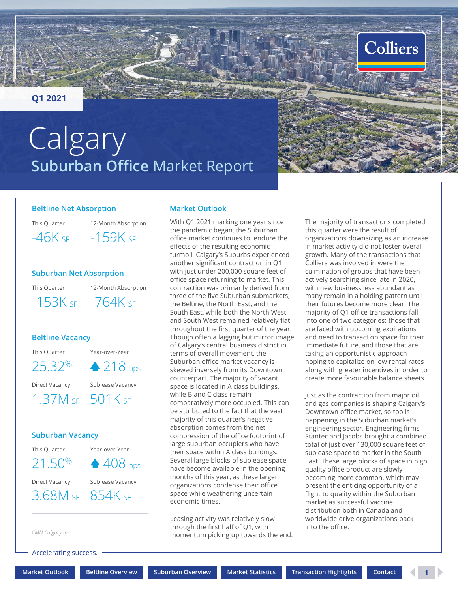#### <span id="page-0-0"></span>**Q1 2021**

# **Suburban Office** Market Report **Calgary**



This Quarter

12-Month Absorption  $-46K$  sf  $-159K$  sf

#### **Suburban Net Absorption**

This Quarter

12-Month Absorption  $-153K$  SF  $-764K$  SF

#### **Beltline Vacancy**

This Quarter Year-over-Year

 $25.32\%$   $\triangle 218$  bps

Direct Vacancy Sublease Vacancy

## 1.37M SF 501K SF

#### **Suburban Vacancy**

This Quarter 21.50% Year-over-Year **▲ 408** bps

Direct Vacancy Sublease Vacancy 3.68M SF 854K SF

*CMN Calgary Inc.*

Accelerating success.

#### **Market Outlook**

With Q1 2021 marking one year since the pandemic began, the Suburban office market continues to endure the effects of the resulting economic turmoil. Calgary's Suburbs experienced another significant contraction in Q1 with just under 200,000 square feet of office space returning to market. This contraction was primarily derived from three of the five Suburban submarkets, the Beltine, the North East, and the South East, while both the North West and South West remained relatively flat throughout the first quarter of the year. Though often a lagging but mirror image of Calgary's central business district in terms of overall movement, the Suburban office market vacancy is skewed inversely from its Downtown counterpart. The majority of vacant space is located in A class buildings, while B and C class remain comparatively more occupied. This can be attributed to the fact that the vast majority of this quarter's negative absorption comes from the net compression of the office footprint of large suburban occupiers who have their space within A class buildings. Several large blocks of sublease space have become available in the opening months of this year, as these larger organizations condense their office space while weathering uncertain economic times.

Leasing activity was relatively slow through the first half of Q1, with momentum picking up towards the end. The majority of transactions completed this quarter were the result of organizations downsizing as an increase in market activity did not foster overall growth. Many of the transactions that Colliers was involved in were the culmination of groups that have been actively searching since late in 2020, with new business less abundant as many remain in a holding pattern until their futures become more clear. The majority of Q1 office transactions fall into one of two categories: those that are faced with upcoming expirations and need to transact on space for their immediate future, and those that are taking an opportunistic approach hoping to capitalize on low rental rates along with greater incentives in order to create more favourable balance sheets.

**Colliers** 

Just as the contraction from major oil and gas companies is shaping Calgary's Downtown office market, so too is happening in the Suburban market's engineering sector. Engineering firms Stantec and Jacobs brought a combined total of just over 130,000 square feet of sublease space to market in the South East. These large blocks of space in high quality office product are slowly becoming more common, which may present the enticing opportunity of a flight to quality within the Suburban market as successful vaccine distribution both in Canada and worldwide drive organizations back into the office.

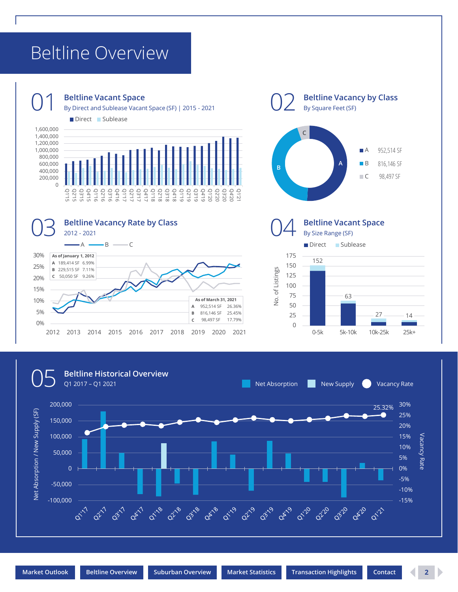### <span id="page-1-0"></span>Beltline Overview



#### **Beltline Vacant Space**

O 1 Beltline Vacant Space<br>
By Direct and Sublease Vacant Space (SF) | 2015 - 2021

Direct Sublease







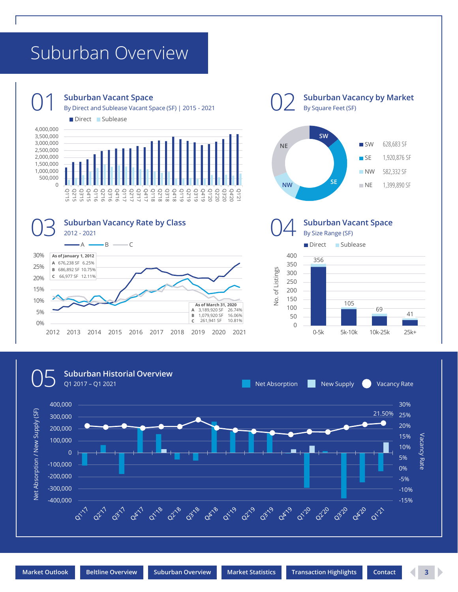### <span id="page-2-0"></span>Suburban Overview



#### **Suburban Vacant Space**

O 1 Suburban Vacant Space<br>
By Direct and Sublease Vacant Space (SF) | 2015 - 2021

Direct Sublease





**Suburban Vacancy by Market**





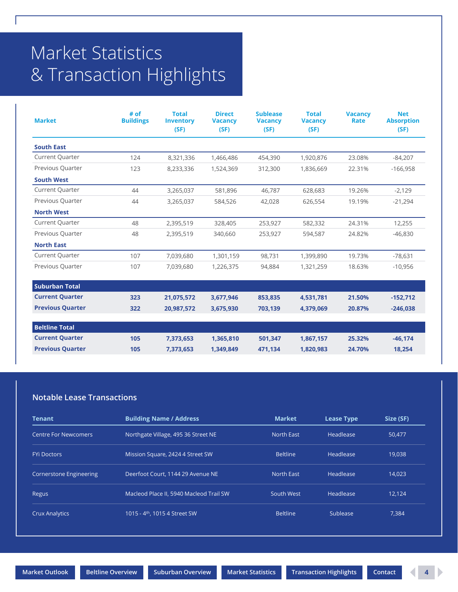## <span id="page-3-0"></span>Market Statistics & Transaction Highlights

| <b>Market</b>           | # of<br><b>Buildings</b> | <b>Total</b><br><b>Inventory</b><br>(SF) | <b>Direct</b><br><b>Vacancy</b><br>(SF) | <b>Sublease</b><br><b>Vacancy</b><br>(SF) | <b>Total</b><br><b>Vacancy</b><br>(SF) | <b>Vacancy</b><br>Rate | <b>Net</b><br><b>Absorption</b><br>(SF) |
|-------------------------|--------------------------|------------------------------------------|-----------------------------------------|-------------------------------------------|----------------------------------------|------------------------|-----------------------------------------|
| <b>South East</b>       |                          |                                          |                                         |                                           |                                        |                        |                                         |
| <b>Current Quarter</b>  | 124                      | 8,321,336                                | 1,466,486                               | 454,390                                   | 1,920,876                              | 23.08%                 | $-84,207$                               |
| Previous Quarter        | 123                      | 8,233,336                                | 1,524,369                               | 312,300                                   | 1,836,669                              | 22.31%                 | $-166,958$                              |
| <b>South West</b>       |                          |                                          |                                         |                                           |                                        |                        |                                         |
| <b>Current Quarter</b>  | 44                       | 3,265,037                                | 581,896                                 | 46,787                                    | 628,683                                | 19.26%                 | $-2,129$                                |
| Previous Quarter        | 44                       | 3,265,037                                | 584,526                                 | 42,028                                    | 626,554                                | 19.19%                 | $-21,294$                               |
| <b>North West</b>       |                          |                                          |                                         |                                           |                                        |                        |                                         |
| <b>Current Quarter</b>  | 48                       | 2,395,519                                | 328,405                                 | 253,927                                   | 582,332                                | 24.31%                 | 12,255                                  |
| Previous Quarter        | 48                       | 2,395,519                                | 340,660                                 | 253,927                                   | 594,587                                | 24.82%                 | $-46.830$                               |
| <b>North East</b>       |                          |                                          |                                         |                                           |                                        |                        |                                         |
| <b>Current Quarter</b>  | 107                      | 7,039,680                                | 1,301,159                               | 98,731                                    | 1,399,890                              | 19.73%                 | $-78,631$                               |
| Previous Quarter        | 107                      | 7,039,680                                | 1,226,375                               | 94,884                                    | 1,321,259                              | 18.63%                 | $-10,956$                               |
| <b>Suburban Total</b>   |                          |                                          |                                         |                                           |                                        |                        |                                         |
| <b>Current Quarter</b>  | 323                      | 21,075,572                               | 3,677,946                               | 853,835                                   | 4,531,781                              | 21.50%                 | $-152,712$                              |
| <b>Previous Quarter</b> | 322                      | 20,987,572                               | 3,675,930                               | 703,139                                   | 4,379,069                              | 20.87%                 | $-246,038$                              |
| <b>Beltline Total</b>   |                          |                                          |                                         |                                           |                                        |                        |                                         |
| <b>Current Quarter</b>  | 105                      | 7,373,653                                | 1,365,810                               | 501,347                                   | 1,867,157                              | 25.32%                 | $-46,174$                               |
| <b>Previous Quarter</b> | 105                      | 7,373,653                                | 1,349,849                               | 471,134                                   | 1,820,983                              | 24.70%                 | 18,254                                  |

#### **Notable Lease Transactions**

| Tenant                         | <b>Building Name / Address</b>            | <b>Market</b>     | <b>Lease Type</b> | Size (SF) |
|--------------------------------|-------------------------------------------|-------------------|-------------------|-----------|
| <b>Centre For Newcomers</b>    | Northgate Village, 495 36 Street NE       | North East        | Headlease         | 50,477    |
| <b>FYi Doctors</b>             | Mission Square, 2424 4 Street SW          | <b>Beltline</b>   | Headlease         | 19.038    |
| <b>Cornerstone Engineering</b> | Deerfoot Court, 1144 29 Avenue NE         | <b>North East</b> | Headlease         | 14.023    |
| Regus                          | Macleod Place II, 5940 Macleod Trail SW   | South West        | Headlease         | 12.124    |
| <b>Crux Analytics</b>          | 1015 - 4 <sup>th</sup> , 1015 4 Street SW | <b>Beltline</b>   | Sublease          | 7.384     |